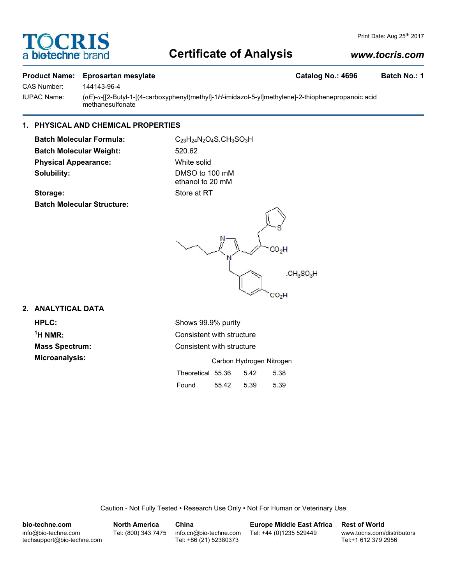# TOCRI a **bio-techne** bi

# **Certificate of Analysis**

### *www.tocris.com*

Print Date: Aug 25th 2017

#### **Product Name: Eprosartan mesylate Catalog No.: 4696 Batch No.: 1**

CAS Number: 144143-96-4

IUPAC Name: (α*E*)-α-[[2-Butyl-1-[(4-carboxyphenyl)methyl]-1*H*-imidazol-5-yl]methylene]-2-thiophenepropanoic acid methanesulfonate

#### **1. PHYSICAL AND CHEMICAL PROPERTIES**

**Batch Molecular Formula:** C<sub>23</sub>H<sub>24</sub>N<sub>2</sub>O<sub>4</sub>S.CH<sub>3</sub>SO<sub>3</sub>H **Batch Molecular Weight:** 520.62 **Physical Appearance:** White solid **Solubility:** DMSO to 100 mM

ethanol to 20 mM

#### **Storage:** Store at RT **Batch Molecular Structure:**

**2. ANALYTICAL DATA**

 $<sup>1</sup>H NMR$ :</sup>

**HPLC:** Shows 99.9% purity **Consistent with structure Mass Spectrum:** Consistent with structure **Microanalysis:** Microanalysis: **Carbon Hydrogen Nitrogen** Theoretical 55.36 5.42 5.38

| Found | 55.42 | 5.39 | 5.39 |
|-------|-------|------|------|
|       |       |      |      |

Caution - Not Fully Tested • Research Use Only • Not For Human or Veterinary Use

| bio-techne.com                                    | <b>North America</b> | China                                            | <b>Europe Middle East Africa</b> | <b>Rest of World</b>                               |
|---------------------------------------------------|----------------------|--------------------------------------------------|----------------------------------|----------------------------------------------------|
| info@bio-techne.com<br>techsupport@bio-techne.com | Tel: (800) 343 7475  | info.cn@bio-techne.com<br>Tel: +86 (21) 52380373 | Tel: +44 (0)1235 529449          | www.tocris.com/distributors<br>Tel:+1 612 379 2956 |